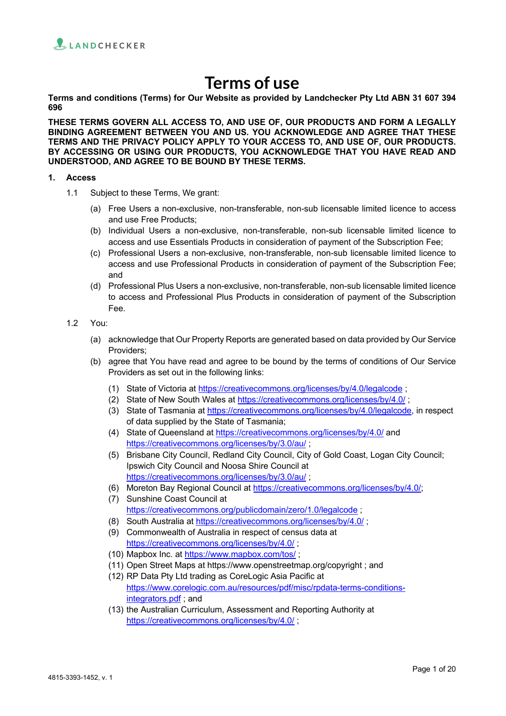

# **Terms of use**

**Terms and conditions (Terms) for Our Website as provided by Landchecker Pty Ltd ABN 31 607 394 696**

**THESE TERMS GOVERN ALL ACCESS TO, AND USE OF, OUR PRODUCTS AND FORM A LEGALLY BINDING AGREEMENT BETWEEN YOU AND US. YOU ACKNOWLEDGE AND AGREE THAT THESE TERMS AND THE PRIVACY POLICY APPLY TO YOUR ACCESS TO, AND USE OF, OUR PRODUCTS. BY ACCESSING OR USING OUR PRODUCTS, YOU ACKNOWLEDGE THAT YOU HAVE READ AND UNDERSTOOD, AND AGREE TO BE BOUND BY THESE TERMS.**

#### **1. Access**

- 1.1 Subject to these Terms, We grant:
	- (a) Free Users a non-exclusive, non-transferable, non-sub licensable limited licence to access and use Free Products;
	- (b) Individual Users a non-exclusive, non-transferable, non-sub licensable limited licence to access and use Essentials Products in consideration of payment of the Subscription Fee;
	- (c) Professional Users a non-exclusive, non-transferable, non-sub licensable limited licence to access and use Professional Products in consideration of payment of the Subscription Fee; and
	- (d) Professional Plus Users a non-exclusive, non-transferable, non-sub licensable limited licence to access and Professional Plus Products in consideration of payment of the Subscription Fee.
- 1.2 You:
	- (a) acknowledge that Our Property Reports are generated based on data provided by Our Service Providers;
	- (b) agree that You have read and agree to be bound by the terms of conditions of Our Service Providers as set out in the following links:
		- (1) State of Victoria at https://creativecommons.org/licenses/by/4.0/legalcode ;
		- (2) State of New South Wales at https://creativecommons.org/licenses/by/4.0/ ;
		- (3) State of Tasmania at https://creativecommons.org/licenses/by/4.0/legalcode, in respect of data supplied by the State of Tasmania;
		- (4) State of Queensland at https://creativecommons.org/licenses/by/4.0/ and https://creativecommons.org/licenses/by/3.0/au/ ;
		- (5) Brisbane City Council, Redland City Council, City of Gold Coast, Logan City Council; Ipswich City Council and Noosa Shire Council at https://creativecommons.org/licenses/by/3.0/au/ ;
		- (6) Moreton Bay Regional Council at https://creativecommons.org/licenses/by/4.0/;
		- (7) Sunshine Coast Council at https://creativecommons.org/publicdomain/zero/1.0/legalcode ;
		- (8) South Australia at https://creativecommons.org/licenses/by/4.0/ ;
		- (9) Commonwealth of Australia in respect of census data at https://creativecommons.org/licenses/by/4.0/;
		- (10) Mapbox Inc. at https://www.mapbox.com/tos/;
		- (11) Open Street Maps at https://www.openstreetmap.org/copyright ; and
		- (12) RP Data Pty Ltd trading as CoreLogic Asia Pacific at https://www.corelogic.com.au/resources/pdf/misc/rpdata-terms-conditionsintegrators.pdf ; and
		- (13) the Australian Curriculum, Assessment and Reporting Authority at https://creativecommons.org/licenses/by/4.0/ ;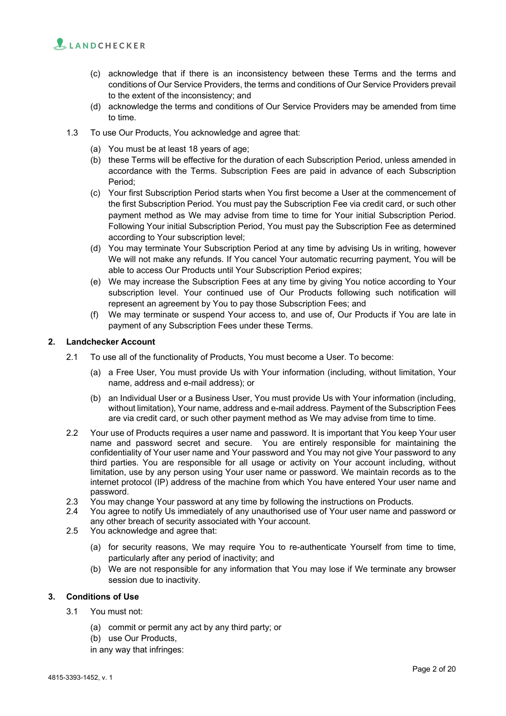

- (c) acknowledge that if there is an inconsistency between these Terms and the terms and conditions of Our Service Providers, the terms and conditions of Our Service Providers prevail to the extent of the inconsistency; and
- (d) acknowledge the terms and conditions of Our Service Providers may be amended from time to time.
- 1.3 To use Our Products, You acknowledge and agree that:
	- (a) You must be at least 18 years of age;
	- (b) these Terms will be effective for the duration of each Subscription Period, unless amended in accordance with the Terms. Subscription Fees are paid in advance of each Subscription Period;
	- (c) Your first Subscription Period starts when You first become a User at the commencement of the first Subscription Period. You must pay the Subscription Fee via credit card, or such other payment method as We may advise from time to time for Your initial Subscription Period. Following Your initial Subscription Period, You must pay the Subscription Fee as determined according to Your subscription level;
	- (d) You may terminate Your Subscription Period at any time by advising Us in writing, however We will not make any refunds. If You cancel Your automatic recurring payment, You will be able to access Our Products until Your Subscription Period expires;
	- (e) We may increase the Subscription Fees at any time by giving You notice according to Your subscription level. Your continued use of Our Products following such notification will represent an agreement by You to pay those Subscription Fees; and
	- (f) We may terminate or suspend Your access to, and use of, Our Products if You are late in payment of any Subscription Fees under these Terms.

## **2. Landchecker Account**

- 2.1 To use all of the functionality of Products, You must become a User. To become:
	- (a) a Free User, You must provide Us with Your information (including, without limitation, Your name, address and e-mail address); or
	- (b) an Individual User or a Business User, You must provide Us with Your information (including, without limitation), Your name, address and e-mail address. Payment of the Subscription Fees are via credit card, or such other payment method as We may advise from time to time.
- 2.2 Your use of Products requires a user name and password. It is important that You keep Your user name and password secret and secure. You are entirely responsible for maintaining the confidentiality of Your user name and Your password and You may not give Your password to any third parties. You are responsible for all usage or activity on Your account including, without limitation, use by any person using Your user name or password. We maintain records as to the internet protocol (IP) address of the machine from which You have entered Your user name and password.
- 2.3 You may change Your password at any time by following the instructions on Products.
- 2.4 You agree to notify Us immediately of any unauthorised use of Your user name and password or any other breach of security associated with Your account.
- 2.5 You acknowledge and agree that:
	- (a) for security reasons, We may require You to re-authenticate Yourself from time to time, particularly after any period of inactivity; and
	- (b) We are not responsible for any information that You may lose if We terminate any browser session due to inactivity.

#### **3. Conditions of Use**

- 3.1 You must not:
	- (a) commit or permit any act by any third party; or
	- (b) use Our Products,
	- in any way that infringes: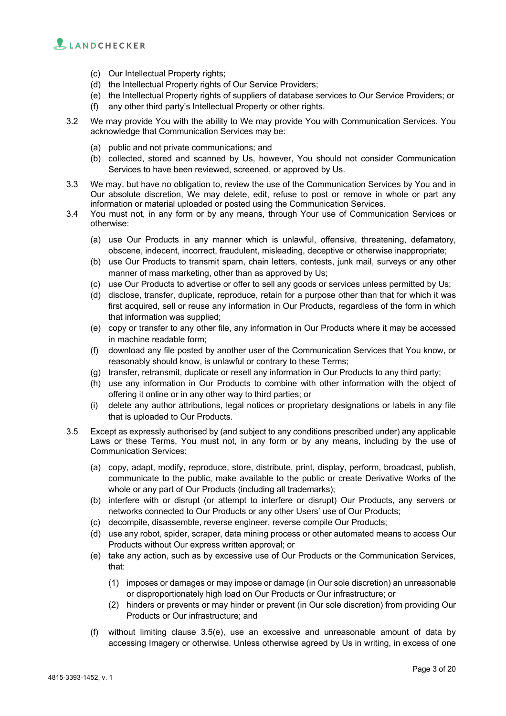

- (c) Our Intellectual Property rights;
- (d) the Intellectual Property rights of Our Service Providers;
- (e) the Intellectual Property rights of suppliers of database services to Our Service Providers; or
- (f) any other third party's Intellectual Property or other rights.
- 3.2 We may provide You with the ability to We may provide You with Communication Services. You acknowledge that Communication Services may be:
	- (a) public and not private communications; and
	- (b) collected, stored and scanned by Us, however, You should not consider Communication Services to have been reviewed, screened, or approved by Us.
- 3.3 We may, but have no obligation to, review the use of the Communication Services by You and in Our absolute discretion, We may delete, edit, refuse to post or remove in whole or part any information or material uploaded or posted using the Communication Services.
- 3.4 You must not, in any form or by any means, through Your use of Communication Services or otherwise:
	- (a) use Our Products in any manner which is unlawful, offensive, threatening, defamatory, obscene, indecent, incorrect, fraudulent, misleading, deceptive or otherwise inappropriate;
	- (b) use Our Products to transmit spam, chain letters, contests, junk mail, surveys or any other manner of mass marketing, other than as approved by Us;
	- (c) use Our Products to advertise or offer to sell any goods or services unless permitted by Us;
	- (d) disclose, transfer, duplicate, reproduce, retain for a purpose other than that for which it was first acquired, sell or reuse any information in Our Products, regardless of the form in which that information was supplied;
	- (e) copy or transfer to any other file, any information in Our Products where it may be accessed in machine readable form;
	- (f) download any file posted by another user of the Communication Services that You know, or reasonably should know, is unlawful or contrary to these Terms;
	- (g) transfer, retransmit, duplicate or resell any information in Our Products to any third party;
	- (h) use any information in Our Products to combine with other information with the object of offering it online or in any other way to third parties; or
	- (i) delete any author attributions, legal notices or proprietary designations or labels in any file that is uploaded to Our Products.
- 3.5 Except as expressly authorised by (and subject to any conditions prescribed under) any applicable Laws or these Terms, You must not, in any form or by any means, including by the use of Communication Services:
	- (a) copy, adapt, modify, reproduce, store, distribute, print, display, perform, broadcast, publish, communicate to the public, make available to the public or create Derivative Works of the whole or any part of Our Products (including all trademarks);
	- (b) interfere with or disrupt (or attempt to interfere or disrupt) Our Products, any servers or networks connected to Our Products or any other Users' use of Our Products;
	- (c) decompile, disassemble, reverse engineer, reverse compile Our Products;
	- (d) use any robot, spider, scraper, data mining process or other automated means to access Our Products without Our express written approval; or
	- (e) take any action, such as by excessive use of Our Products or the Communication Services, that:
		- (1) imposes or damages or may impose or damage (in Our sole discretion) an unreasonable or disproportionately high load on Our Products or Our infrastructure; or
		- (2) hinders or prevents or may hinder or prevent (in Our sole discretion) from providing Our Products or Our infrastructure; and
	- (f) without limiting clause 3.5(e), use an excessive and unreasonable amount of data by accessing Imagery or otherwise. Unless otherwise agreed by Us in writing, in excess of one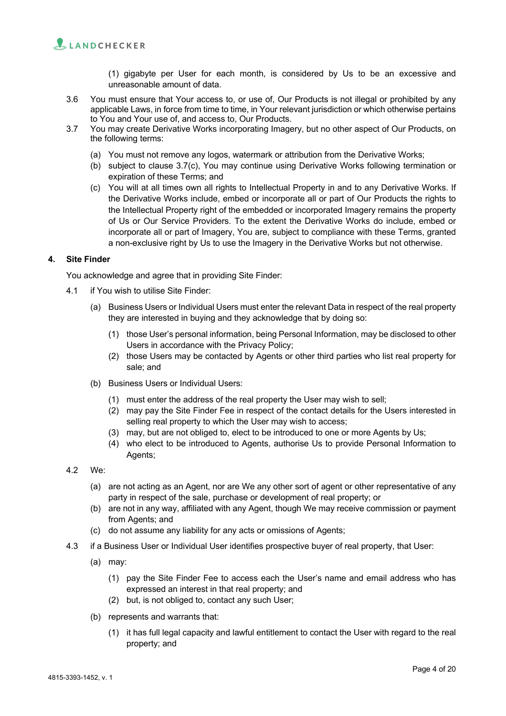

(1) gigabyte per User for each month, is considered by Us to be an excessive and unreasonable amount of data.

- 3.6 You must ensure that Your access to, or use of, Our Products is not illegal or prohibited by any applicable Laws, in force from time to time, in Your relevant jurisdiction or which otherwise pertains to You and Your use of, and access to, Our Products.
- 3.7 You may create Derivative Works incorporating Imagery, but no other aspect of Our Products, on the following terms:
	- (a) You must not remove any logos, watermark or attribution from the Derivative Works;
	- (b) subject to clause 3.7(c), You may continue using Derivative Works following termination or expiration of these Terms; and
	- (c) You will at all times own all rights to Intellectual Property in and to any Derivative Works. If the Derivative Works include, embed or incorporate all or part of Our Products the rights to the Intellectual Property right of the embedded or incorporated Imagery remains the property of Us or Our Service Providers. To the extent the Derivative Works do include, embed or incorporate all or part of Imagery, You are, subject to compliance with these Terms, granted a non-exclusive right by Us to use the Imagery in the Derivative Works but not otherwise.

## **4. Site Finder**

You acknowledge and agree that in providing Site Finder:

- 4.1 if You wish to utilise Site Finder:
	- (a) Business Users or Individual Users must enter the relevant Data in respect of the real property they are interested in buying and they acknowledge that by doing so:
		- (1) those User's personal information, being Personal Information, may be disclosed to other Users in accordance with the Privacy Policy;
		- (2) those Users may be contacted by Agents or other third parties who list real property for sale; and
	- (b) Business Users or Individual Users:
		- (1) must enter the address of the real property the User may wish to sell;
		- (2) may pay the Site Finder Fee in respect of the contact details for the Users interested in selling real property to which the User may wish to access;
		- (3) may, but are not obliged to, elect to be introduced to one or more Agents by Us;
		- (4) who elect to be introduced to Agents, authorise Us to provide Personal Information to Agents;
- 4.2 We:
	- (a) are not acting as an Agent, nor are We any other sort of agent or other representative of any party in respect of the sale, purchase or development of real property; or
	- (b) are not in any way, affiliated with any Agent, though We may receive commission or payment from Agents; and
	- (c) do not assume any liability for any acts or omissions of Agents;
- 4.3 if a Business User or Individual User identifies prospective buyer of real property, that User:
	- (a) may:
		- (1) pay the Site Finder Fee to access each the User's name and email address who has expressed an interest in that real property; and
		- (2) but, is not obliged to, contact any such User;
	- (b) represents and warrants that:
		- (1) it has full legal capacity and lawful entitlement to contact the User with regard to the real property; and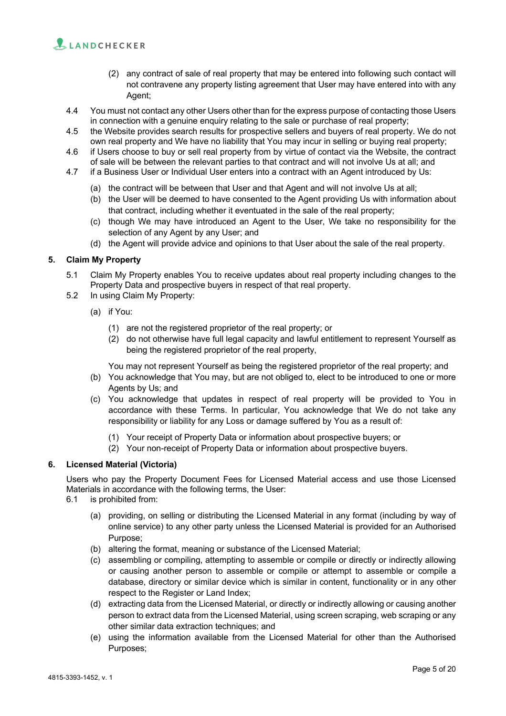

- (2) any contract of sale of real property that may be entered into following such contact will not contravene any property listing agreement that User may have entered into with any Agent;
- 4.4 You must not contact any other Users other than for the express purpose of contacting those Users in connection with a genuine enquiry relating to the sale or purchase of real property;
- 4.5 the Website provides search results for prospective sellers and buyers of real property. We do not own real property and We have no liability that You may incur in selling or buying real property;
- 4.6 if Users choose to buy or sell real property from by virtue of contact via the Website, the contract of sale will be between the relevant parties to that contract and will not involve Us at all; and
- 4.7 if a Business User or Individual User enters into a contract with an Agent introduced by Us:
	- (a) the contract will be between that User and that Agent and will not involve Us at all;
	- (b) the User will be deemed to have consented to the Agent providing Us with information about that contract, including whether it eventuated in the sale of the real property;
	- (c) though We may have introduced an Agent to the User, We take no responsibility for the selection of any Agent by any User; and
	- (d) the Agent will provide advice and opinions to that User about the sale of the real property.

# **5. Claim My Property**

- 5.1 Claim My Property enables You to receive updates about real property including changes to the Property Data and prospective buyers in respect of that real property.
- 5.2 In using Claim My Property:
	- (a) if You:
		- (1) are not the registered proprietor of the real property; or
		- (2) do not otherwise have full legal capacity and lawful entitlement to represent Yourself as being the registered proprietor of the real property,

You may not represent Yourself as being the registered proprietor of the real property; and

- (b) You acknowledge that You may, but are not obliged to, elect to be introduced to one or more Agents by Us; and
- (c) You acknowledge that updates in respect of real property will be provided to You in accordance with these Terms. In particular, You acknowledge that We do not take any responsibility or liability for any Loss or damage suffered by You as a result of:
	- (1) Your receipt of Property Data or information about prospective buyers; or
	- (2) Your non-receipt of Property Data or information about prospective buyers.

#### **6. Licensed Material (Victoria)**

Users who pay the Property Document Fees for Licensed Material access and use those Licensed Materials in accordance with the following terms, the User:

- 6.1 is prohibited from:
	- (a) providing, on selling or distributing the Licensed Material in any format (including by way of online service) to any other party unless the Licensed Material is provided for an Authorised Purpose;
	- (b) altering the format, meaning or substance of the Licensed Material;
	- (c) assembling or compiling, attempting to assemble or compile or directly or indirectly allowing or causing another person to assemble or compile or attempt to assemble or compile a database, directory or similar device which is similar in content, functionality or in any other respect to the Register or Land Index;
	- (d) extracting data from the Licensed Material, or directly or indirectly allowing or causing another person to extract data from the Licensed Material, using screen scraping, web scraping or any other similar data extraction techniques; and
	- (e) using the information available from the Licensed Material for other than the Authorised Purposes;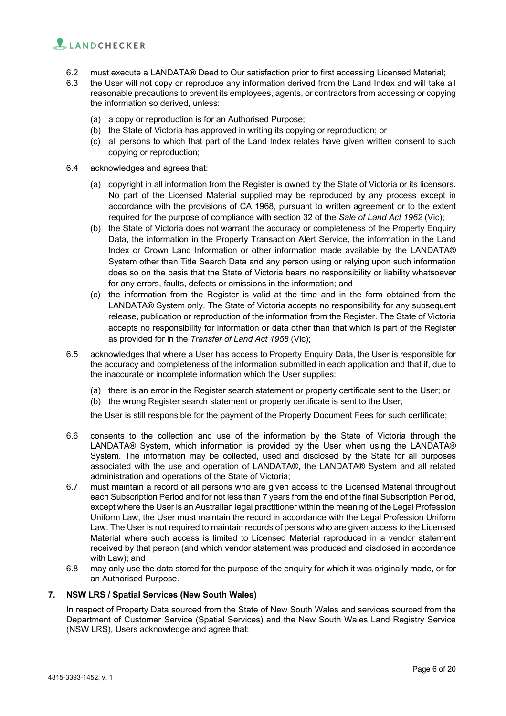

- 6.2 must execute a LANDATA® Deed to Our satisfaction prior to first accessing Licensed Material;
- 6.3 the User will not copy or reproduce any information derived from the Land Index and will take all reasonable precautions to prevent its employees, agents, or contractors from accessing or copying the information so derived, unless:
	- (a) a copy or reproduction is for an Authorised Purpose;
	- (b) the State of Victoria has approved in writing its copying or reproduction; or
	- (c) all persons to which that part of the Land Index relates have given written consent to such copying or reproduction;
- 6.4 acknowledges and agrees that:
	- (a) copyright in all information from the Register is owned by the State of Victoria or its licensors. No part of the Licensed Material supplied may be reproduced by any process except in accordance with the provisions of CA 1968, pursuant to written agreement or to the extent required for the purpose of compliance with section 32 of the *Sale of Land Act 1962* (Vic);
	- (b) the State of Victoria does not warrant the accuracy or completeness of the Property Enquiry Data, the information in the Property Transaction Alert Service, the information in the Land Index or Crown Land Information or other information made available by the LANDATA® System other than Title Search Data and any person using or relying upon such information does so on the basis that the State of Victoria bears no responsibility or liability whatsoever for any errors, faults, defects or omissions in the information; and
	- (c) the information from the Register is valid at the time and in the form obtained from the LANDATA® System only. The State of Victoria accepts no responsibility for any subsequent release, publication or reproduction of the information from the Register. The State of Victoria accepts no responsibility for information or data other than that which is part of the Register as provided for in the *Transfer of Land Act 1958* (Vic);
- 6.5 acknowledges that where a User has access to Property Enquiry Data, the User is responsible for the accuracy and completeness of the information submitted in each application and that if, due to the inaccurate or incomplete information which the User supplies:
	- (a) there is an error in the Register search statement or property certificate sent to the User; or
	- (b) the wrong Register search statement or property certificate is sent to the User,
	- the User is still responsible for the payment of the Property Document Fees for such certificate;
- 6.6 consents to the collection and use of the information by the State of Victoria through the LANDATA® System, which information is provided by the User when using the LANDATA® System. The information may be collected, used and disclosed by the State for all purposes associated with the use and operation of LANDATA®, the LANDATA® System and all related administration and operations of the State of Victoria;
- 6.7 must maintain a record of all persons who are given access to the Licensed Material throughout each Subscription Period and for not less than 7 years from the end of the final Subscription Period, except where the User is an Australian legal practitioner within the meaning of the Legal Profession Uniform Law, the User must maintain the record in accordance with the Legal Profession Uniform Law. The User is not required to maintain records of persons who are given access to the Licensed Material where such access is limited to Licensed Material reproduced in a vendor statement received by that person (and which vendor statement was produced and disclosed in accordance with Law); and
- 6.8 may only use the data stored for the purpose of the enquiry for which it was originally made, or for an Authorised Purpose.

#### **7. NSW LRS / Spatial Services (New South Wales)**

In respect of Property Data sourced from the State of New South Wales and services sourced from the Department of Customer Service (Spatial Services) and the New South Wales Land Registry Service (NSW LRS), Users acknowledge and agree that: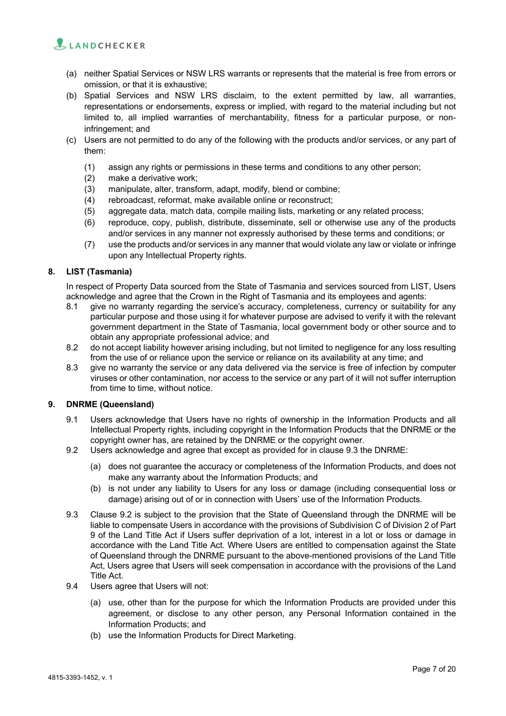

- (a) neither Spatial Services or NSW LRS warrants or represents that the material is free from errors or omission, or that it is exhaustive;
- (b) Spatial Services and NSW LRS disclaim, to the extent permitted by law, all warranties, representations or endorsements, express or implied, with regard to the material including but not limited to, all implied warranties of merchantability, fitness for a particular purpose, or noninfringement; and
- (c) Users are not permitted to do any of the following with the products and/or services, or any part of them:
	- (1) assign any rights or permissions in these terms and conditions to any other person;
	- (2) make a derivative work;
	- (3) manipulate, alter, transform, adapt, modify, blend or combine;
	- (4) rebroadcast, reformat, make available online or reconstruct;
	- (5) aggregate data, match data, compile mailing lists, marketing or any related process;
	- (6) reproduce, copy, publish, distribute, disseminate, sell or otherwise use any of the products and/or services in any manner not expressly authorised by these terms and conditions; or
	- (7) use the products and/or services in any manner that would violate any law or violate or infringe upon any Intellectual Property rights.

## **8. LIST (Tasmania)**

In respect of Property Data sourced from the State of Tasmania and services sourced from LIST, Users acknowledge and agree that the Crown in the Right of Tasmania and its employees and agents:

- 8.1 give no warranty regarding the service's accuracy, completeness, currency or suitability for any particular purpose and those using it for whatever purpose are advised to verify it with the relevant government department in the State of Tasmania, local government body or other source and to obtain any appropriate professional advice; and
- 8.2 do not accept liability however arising including, but not limited to negligence for any loss resulting from the use of or reliance upon the service or reliance on its availability at any time; and
- 8.3 give no warranty the service or any data delivered via the service is free of infection by computer viruses or other contamination, nor access to the service or any part of it will not suffer interruption from time to time, without notice.

## **9. DNRME (Queensland)**

- 9.1 Users acknowledge that Users have no rights of ownership in the Information Products and all Intellectual Property rights, including copyright in the Information Products that the DNRME or the copyright owner has, are retained by the DNRME or the copyright owner.
- 9.2 Users acknowledge and agree that except as provided for in clause 9.3 the DNRME:
	- (a) does not guarantee the accuracy or completeness of the Information Products, and does not make any warranty about the Information Products; and
	- (b) is not under any liability to Users for any loss or damage (including consequential loss or damage) arising out of or in connection with Users' use of the Information Products.
- 9.3 Clause 9.2 is subject to the provision that the State of Queensland through the DNRME will be liable to compensate Users in accordance with the provisions of Subdivision C of Division 2 of Part 9 of the Land Title Act if Users suffer deprivation of a lot, interest in a lot or loss or damage in accordance with the Land Title Act. Where Users are entitled to compensation against the State of Queensland through the DNRME pursuant to the above-mentioned provisions of the Land Title Act, Users agree that Users will seek compensation in accordance with the provisions of the Land Title Act.
- 9.4 Users agree that Users will not:
	- (a) use, other than for the purpose for which the Information Products are provided under this agreement, or disclose to any other person, any Personal Information contained in the Information Products; and
	- (b) use the Information Products for Direct Marketing.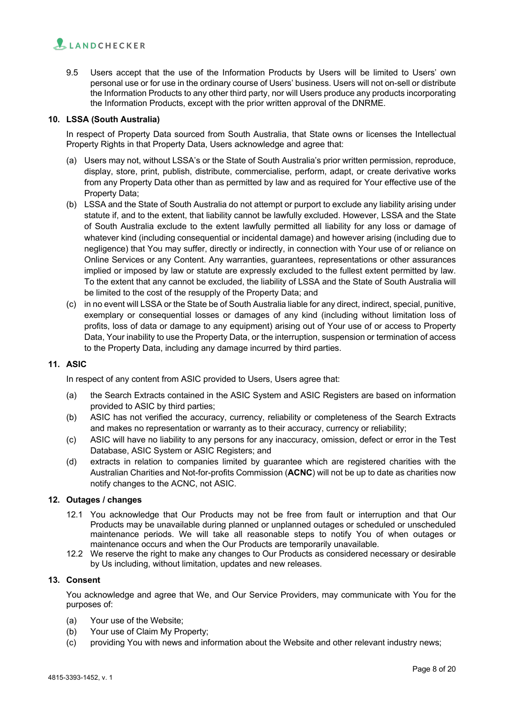

9.5 Users accept that the use of the Information Products by Users will be limited to Users' own personal use or for use in the ordinary course of Users' business. Users will not on-sell or distribute the Information Products to any other third party, nor will Users produce any products incorporating the Information Products, except with the prior written approval of the DNRME.

## **10. LSSA (South Australia)**

In respect of Property Data sourced from South Australia, that State owns or licenses the Intellectual Property Rights in that Property Data, Users acknowledge and agree that:

- (a) Users may not, without LSSA's or the State of South Australia's prior written permission, reproduce, display, store, print, publish, distribute, commercialise, perform, adapt, or create derivative works from any Property Data other than as permitted by law and as required for Your effective use of the Property Data;
- (b) LSSA and the State of South Australia do not attempt or purport to exclude any liability arising under statute if, and to the extent, that liability cannot be lawfully excluded. However, LSSA and the State of South Australia exclude to the extent lawfully permitted all liability for any loss or damage of whatever kind (including consequential or incidental damage) and however arising (including due to negligence) that You may suffer, directly or indirectly, in connection with Your use of or reliance on Online Services or any Content. Any warranties, guarantees, representations or other assurances implied or imposed by law or statute are expressly excluded to the fullest extent permitted by law. To the extent that any cannot be excluded, the liability of LSSA and the State of South Australia will be limited to the cost of the resupply of the Property Data; and
- (c) in no event will LSSA or the State be of South Australia liable for any direct, indirect, special, punitive, exemplary or consequential losses or damages of any kind (including without limitation loss of profits, loss of data or damage to any equipment) arising out of Your use of or access to Property Data, Your inability to use the Property Data, or the interruption, suspension or termination of access to the Property Data, including any damage incurred by third parties.

## **11. ASIC**

In respect of any content from ASIC provided to Users, Users agree that:

- (a) the Search Extracts contained in the ASIC System and ASIC Registers are based on information provided to ASIC by third parties;
- (b) ASIC has not verified the accuracy, currency, reliability or completeness of the Search Extracts and makes no representation or warranty as to their accuracy, currency or reliability;
- (c) ASIC will have no liability to any persons for any inaccuracy, omission, defect or error in the Test Database, ASIC System or ASIC Registers; and
- (d) extracts in relation to companies limited by guarantee which are registered charities with the Australian Charities and Not-for-profits Commission (**ACNC**) will not be up to date as charities now notify changes to the ACNC, not ASIC.

#### **12. Outages / changes**

- 12.1 You acknowledge that Our Products may not be free from fault or interruption and that Our Products may be unavailable during planned or unplanned outages or scheduled or unscheduled maintenance periods. We will take all reasonable steps to notify You of when outages or maintenance occurs and when the Our Products are temporarily unavailable.
- 12.2 We reserve the right to make any changes to Our Products as considered necessary or desirable by Us including, without limitation, updates and new releases.

#### **13. Consent**

You acknowledge and agree that We, and Our Service Providers, may communicate with You for the purposes of:

- (a) Your use of the Website;
- (b) Your use of Claim My Property;
- (c) providing You with news and information about the Website and other relevant industry news;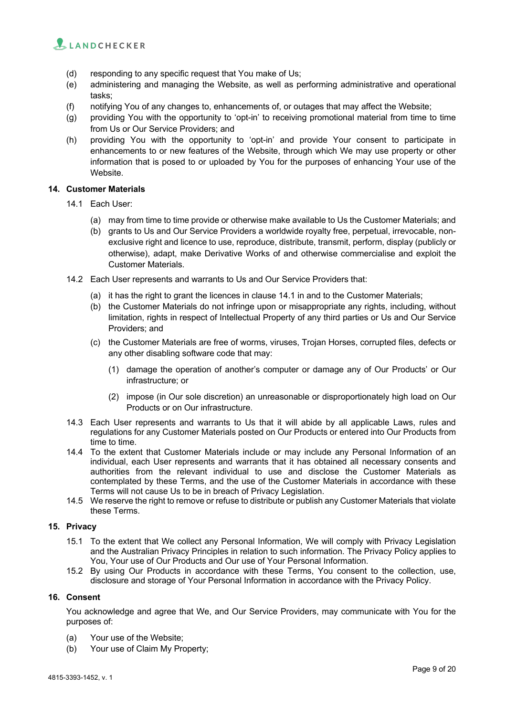

- (d) responding to any specific request that You make of Us;
- (e) administering and managing the Website, as well as performing administrative and operational tasks;
- (f) notifying You of any changes to, enhancements of, or outages that may affect the Website;
- (g) providing You with the opportunity to 'opt-in' to receiving promotional material from time to time from Us or Our Service Providers; and
- (h) providing You with the opportunity to 'opt-in' and provide Your consent to participate in enhancements to or new features of the Website, through which We may use property or other information that is posed to or uploaded by You for the purposes of enhancing Your use of the Website.

## **14. Customer Materials**

- 14.1 Each User:
	- (a) may from time to time provide or otherwise make available to Us the Customer Materials; and
	- (b) grants to Us and Our Service Providers a worldwide royalty free, perpetual, irrevocable, nonexclusive right and licence to use, reproduce, distribute, transmit, perform, display (publicly or otherwise), adapt, make Derivative Works of and otherwise commercialise and exploit the Customer Materials.
- 14.2 Each User represents and warrants to Us and Our Service Providers that:
	- (a) it has the right to grant the licences in clause 14.1 in and to the Customer Materials;
	- (b) the Customer Materials do not infringe upon or misappropriate any rights, including, without limitation, rights in respect of Intellectual Property of any third parties or Us and Our Service Providers; and
	- (c) the Customer Materials are free of worms, viruses, Trojan Horses, corrupted files, defects or any other disabling software code that may:
		- (1) damage the operation of another's computer or damage any of Our Products' or Our infrastructure; or
		- (2) impose (in Our sole discretion) an unreasonable or disproportionately high load on Our Products or on Our infrastructure.
- 14.3 Each User represents and warrants to Us that it will abide by all applicable Laws, rules and regulations for any Customer Materials posted on Our Products or entered into Our Products from time to time.
- 14.4 To the extent that Customer Materials include or may include any Personal Information of an individual, each User represents and warrants that it has obtained all necessary consents and authorities from the relevant individual to use and disclose the Customer Materials as contemplated by these Terms, and the use of the Customer Materials in accordance with these Terms will not cause Us to be in breach of Privacy Legislation.
- 14.5 We reserve the right to remove or refuse to distribute or publish any Customer Materials that violate these Terms.

#### **15. Privacy**

- 15.1 To the extent that We collect any Personal Information, We will comply with Privacy Legislation and the Australian Privacy Principles in relation to such information. The Privacy Policy applies to You, Your use of Our Products and Our use of Your Personal Information.
- 15.2 By using Our Products in accordance with these Terms, You consent to the collection, use, disclosure and storage of Your Personal Information in accordance with the Privacy Policy.

#### **16. Consent**

You acknowledge and agree that We, and Our Service Providers, may communicate with You for the purposes of:

- (a) Your use of the Website;
- (b) Your use of Claim My Property;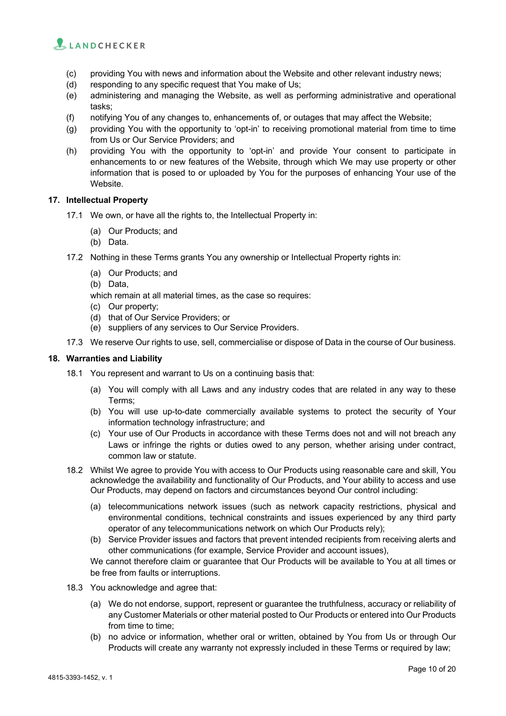

- (c) providing You with news and information about the Website and other relevant industry news;
- (d) responding to any specific request that You make of Us;
- (e) administering and managing the Website, as well as performing administrative and operational tasks;
- (f) notifying You of any changes to, enhancements of, or outages that may affect the Website;
- (g) providing You with the opportunity to 'opt-in' to receiving promotional material from time to time from Us or Our Service Providers; and
- (h) providing You with the opportunity to 'opt-in' and provide Your consent to participate in enhancements to or new features of the Website, through which We may use property or other information that is posed to or uploaded by You for the purposes of enhancing Your use of the Website.

#### **17. Intellectual Property**

- 17.1 We own, or have all the rights to, the Intellectual Property in:
	- (a) Our Products; and
	- (b) Data.
- 17.2 Nothing in these Terms grants You any ownership or Intellectual Property rights in:
	- (a) Our Products; and
	- (b) Data,
	- which remain at all material times, as the case so requires:
	- (c) Our property;
	- (d) that of Our Service Providers; or
	- (e) suppliers of any services to Our Service Providers.
- 17.3 We reserve Our rights to use, sell, commercialise or dispose of Data in the course of Our business.

# **18. Warranties and Liability**

- 18.1 You represent and warrant to Us on a continuing basis that:
	- (a) You will comply with all Laws and any industry codes that are related in any way to these Terms;
	- (b) You will use up-to-date commercially available systems to protect the security of Your information technology infrastructure; and
	- (c) Your use of Our Products in accordance with these Terms does not and will not breach any Laws or infringe the rights or duties owed to any person, whether arising under contract, common law or statute.
- 18.2 Whilst We agree to provide You with access to Our Products using reasonable care and skill, You acknowledge the availability and functionality of Our Products, and Your ability to access and use Our Products, may depend on factors and circumstances beyond Our control including:
	- (a) telecommunications network issues (such as network capacity restrictions, physical and environmental conditions, technical constraints and issues experienced by any third party operator of any telecommunications network on which Our Products rely);
	- (b) Service Provider issues and factors that prevent intended recipients from receiving alerts and other communications (for example, Service Provider and account issues),

We cannot therefore claim or guarantee that Our Products will be available to You at all times or be free from faults or interruptions.

- 18.3 You acknowledge and agree that:
	- (a) We do not endorse, support, represent or guarantee the truthfulness, accuracy or reliability of any Customer Materials or other material posted to Our Products or entered into Our Products from time to time;
	- (b) no advice or information, whether oral or written, obtained by You from Us or through Our Products will create any warranty not expressly included in these Terms or required by law;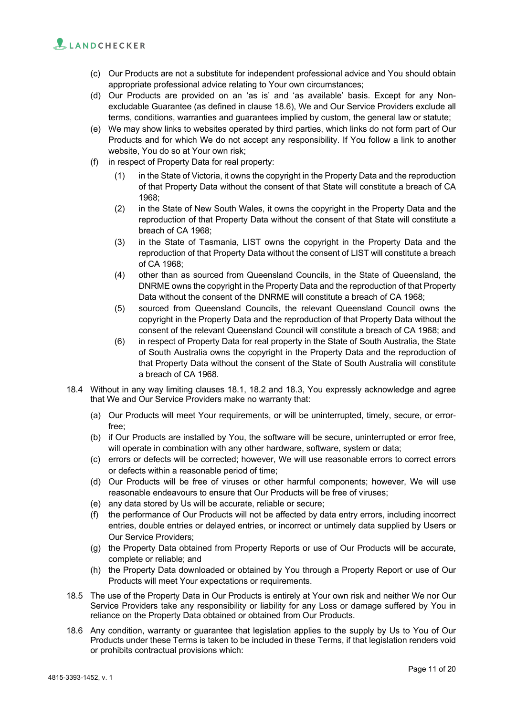- (c) Our Products are not a substitute for independent professional advice and You should obtain appropriate professional advice relating to Your own circumstances;
- (d) Our Products are provided on an 'as is' and 'as available' basis. Except for any Nonexcludable Guarantee (as defined in clause 18.6), We and Our Service Providers exclude all terms, conditions, warranties and guarantees implied by custom, the general law or statute;
- (e) We may show links to websites operated by third parties, which links do not form part of Our Products and for which We do not accept any responsibility. If You follow a link to another website, You do so at Your own risk;
- (f) in respect of Property Data for real property:
	- (1) in the State of Victoria, it owns the copyright in the Property Data and the reproduction of that Property Data without the consent of that State will constitute a breach of CA 1968;
	- (2) in the State of New South Wales, it owns the copyright in the Property Data and the reproduction of that Property Data without the consent of that State will constitute a breach of CA 1968;
	- (3) in the State of Tasmania, LIST owns the copyright in the Property Data and the reproduction of that Property Data without the consent of LIST will constitute a breach of CA 1968;
	- (4) other than as sourced from Queensland Councils, in the State of Queensland, the DNRME owns the copyright in the Property Data and the reproduction of that Property Data without the consent of the DNRME will constitute a breach of CA 1968;
	- (5) sourced from Queensland Councils, the relevant Queensland Council owns the copyright in the Property Data and the reproduction of that Property Data without the consent of the relevant Queensland Council will constitute a breach of CA 1968; and
	- (6) in respect of Property Data for real property in the State of South Australia, the State of South Australia owns the copyright in the Property Data and the reproduction of that Property Data without the consent of the State of South Australia will constitute a breach of CA 1968.
- 18.4 Without in any way limiting clauses 18.1, 18.2 and 18.3, You expressly acknowledge and agree that We and Our Service Providers make no warranty that:
	- (a) Our Products will meet Your requirements, or will be uninterrupted, timely, secure, or errorfree;
	- (b) if Our Products are installed by You, the software will be secure, uninterrupted or error free, will operate in combination with any other hardware, software, system or data;
	- (c) errors or defects will be corrected; however, We will use reasonable errors to correct errors or defects within a reasonable period of time;
	- (d) Our Products will be free of viruses or other harmful components; however, We will use reasonable endeavours to ensure that Our Products will be free of viruses;
	- (e) any data stored by Us will be accurate, reliable or secure;
	- (f) the performance of Our Products will not be affected by data entry errors, including incorrect entries, double entries or delayed entries, or incorrect or untimely data supplied by Users or Our Service Providers;
	- (g) the Property Data obtained from Property Reports or use of Our Products will be accurate, complete or reliable; and
	- (h) the Property Data downloaded or obtained by You through a Property Report or use of Our Products will meet Your expectations or requirements.
- 18.5 The use of the Property Data in Our Products is entirely at Your own risk and neither We nor Our Service Providers take any responsibility or liability for any Loss or damage suffered by You in reliance on the Property Data obtained or obtained from Our Products.
- 18.6 Any condition, warranty or guarantee that legislation applies to the supply by Us to You of Our Products under these Terms is taken to be included in these Terms, if that legislation renders void or prohibits contractual provisions which: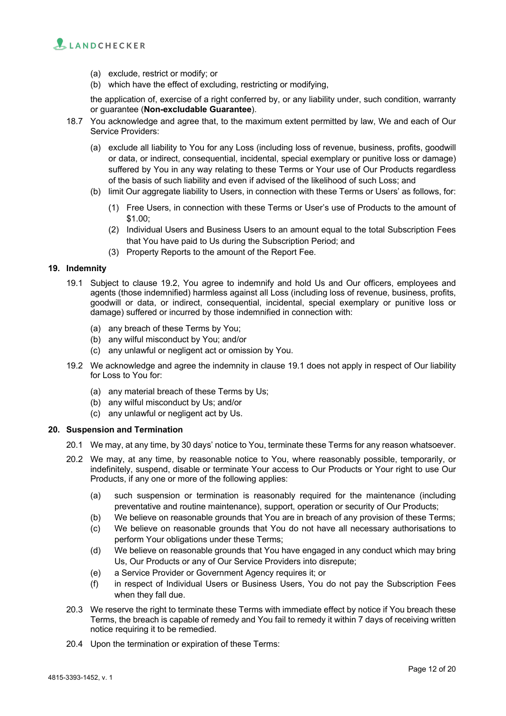

- (a) exclude, restrict or modify; or
- (b) which have the effect of excluding, restricting or modifying,

the application of, exercise of a right conferred by, or any liability under, such condition, warranty or guarantee (**Non-excludable Guarantee**).

- 18.7 You acknowledge and agree that, to the maximum extent permitted by law, We and each of Our Service Providers:
	- (a) exclude all liability to You for any Loss (including loss of revenue, business, profits, goodwill or data, or indirect, consequential, incidental, special exemplary or punitive loss or damage) suffered by You in any way relating to these Terms or Your use of Our Products regardless of the basis of such liability and even if advised of the likelihood of such Loss; and
	- (b) limit Our aggregate liability to Users, in connection with these Terms or Users' as follows, for:
		- (1) Free Users, in connection with these Terms or User's use of Products to the amount of \$1.00;
		- (2) Individual Users and Business Users to an amount equal to the total Subscription Fees that You have paid to Us during the Subscription Period; and
		- (3) Property Reports to the amount of the Report Fee.

# **19. Indemnity**

- 19.1 Subject to clause 19.2, You agree to indemnify and hold Us and Our officers, employees and agents (those indemnified) harmless against all Loss (including loss of revenue, business, profits, goodwill or data, or indirect, consequential, incidental, special exemplary or punitive loss or damage) suffered or incurred by those indemnified in connection with:
	- (a) any breach of these Terms by You;
	- (b) any wilful misconduct by You; and/or
	- (c) any unlawful or negligent act or omission by You.
- 19.2 We acknowledge and agree the indemnity in clause 19.1 does not apply in respect of Our liability for Loss to You for:
	- (a) any material breach of these Terms by Us;
	- (b) any wilful misconduct by Us; and/or
	- (c) any unlawful or negligent act by Us.

#### **20. Suspension and Termination**

- 20.1 We may, at any time, by 30 days' notice to You, terminate these Terms for any reason whatsoever.
- 20.2 We may, at any time, by reasonable notice to You, where reasonably possible, temporarily, or indefinitely, suspend, disable or terminate Your access to Our Products or Your right to use Our Products, if any one or more of the following applies:
	- (a) such suspension or termination is reasonably required for the maintenance (including preventative and routine maintenance), support, operation or security of Our Products;
	- (b) We believe on reasonable grounds that You are in breach of any provision of these Terms;
	- (c) We believe on reasonable grounds that You do not have all necessary authorisations to perform Your obligations under these Terms;
	- (d) We believe on reasonable grounds that You have engaged in any conduct which may bring Us, Our Products or any of Our Service Providers into disrepute;
	- (e) a Service Provider or Government Agency requires it; or
	- (f) in respect of Individual Users or Business Users, You do not pay the Subscription Fees when they fall due.
- 20.3 We reserve the right to terminate these Terms with immediate effect by notice if You breach these Terms, the breach is capable of remedy and You fail to remedy it within 7 days of receiving written notice requiring it to be remedied.
- 20.4 Upon the termination or expiration of these Terms: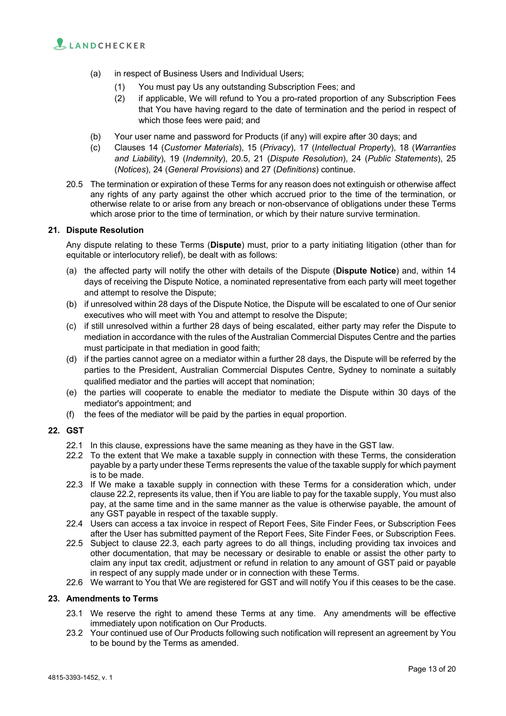

- (a) in respect of Business Users and Individual Users;
	- (1) You must pay Us any outstanding Subscription Fees; and
	- (2) if applicable, We will refund to You a pro-rated proportion of any Subscription Fees that You have having regard to the date of termination and the period in respect of which those fees were paid; and
- (b) Your user name and password for Products (if any) will expire after 30 days; and
- (c) Clauses 14 (*Customer Materials*), 15 (*Privacy*), 17 (*Intellectual Property*), 18 (*Warranties and Liability*), 19 (*Indemnity*), 20.5, 21 (*Dispute Resolution*), 24 (*Public Statements*), 25 (*Notices*), 24 (*General Provisions*) and 27 (*Definitions*) continue.
- 20.5 The termination or expiration of these Terms for any reason does not extinguish or otherwise affect any rights of any party against the other which accrued prior to the time of the termination, or otherwise relate to or arise from any breach or non-observance of obligations under these Terms which arose prior to the time of termination, or which by their nature survive termination.

#### **21. Dispute Resolution**

Any dispute relating to these Terms (**Dispute**) must, prior to a party initiating litigation (other than for equitable or interlocutory relief), be dealt with as follows:

- (a) the affected party will notify the other with details of the Dispute (**Dispute Notice**) and, within 14 days of receiving the Dispute Notice, a nominated representative from each party will meet together and attempt to resolve the Dispute;
- (b) if unresolved within 28 days of the Dispute Notice, the Dispute will be escalated to one of Our senior executives who will meet with You and attempt to resolve the Dispute;
- (c) if still unresolved within a further 28 days of being escalated, either party may refer the Dispute to mediation in accordance with the rules of the Australian Commercial Disputes Centre and the parties must participate in that mediation in good faith;
- (d) if the parties cannot agree on a mediator within a further 28 days, the Dispute will be referred by the parties to the President, Australian Commercial Disputes Centre, Sydney to nominate a suitably qualified mediator and the parties will accept that nomination;
- (e) the parties will cooperate to enable the mediator to mediate the Dispute within 30 days of the mediator's appointment; and
- (f) the fees of the mediator will be paid by the parties in equal proportion.

# **22. GST**

- 22.1 In this clause, expressions have the same meaning as they have in the GST law.
- 22.2 To the extent that We make a taxable supply in connection with these Terms, the consideration payable by a party under these Terms represents the value of the taxable supply for which payment is to be made.
- 22.3 If We make a taxable supply in connection with these Terms for a consideration which, under clause 22.2, represents its value, then if You are liable to pay for the taxable supply, You must also pay, at the same time and in the same manner as the value is otherwise payable, the amount of any GST payable in respect of the taxable supply.
- 22.4 Users can access a tax invoice in respect of Report Fees, Site Finder Fees, or Subscription Fees after the User has submitted payment of the Report Fees, Site Finder Fees, or Subscription Fees.
- 22.5 Subject to clause 22.3, each party agrees to do all things, including providing tax invoices and other documentation, that may be necessary or desirable to enable or assist the other party to claim any input tax credit, adjustment or refund in relation to any amount of GST paid or payable in respect of any supply made under or in connection with these Terms.
- 22.6 We warrant to You that We are registered for GST and will notify You if this ceases to be the case.

#### **23. Amendments to Terms**

- 23.1 We reserve the right to amend these Terms at any time. Any amendments will be effective immediately upon notification on Our Products.
- 23.2 Your continued use of Our Products following such notification will represent an agreement by You to be bound by the Terms as amended.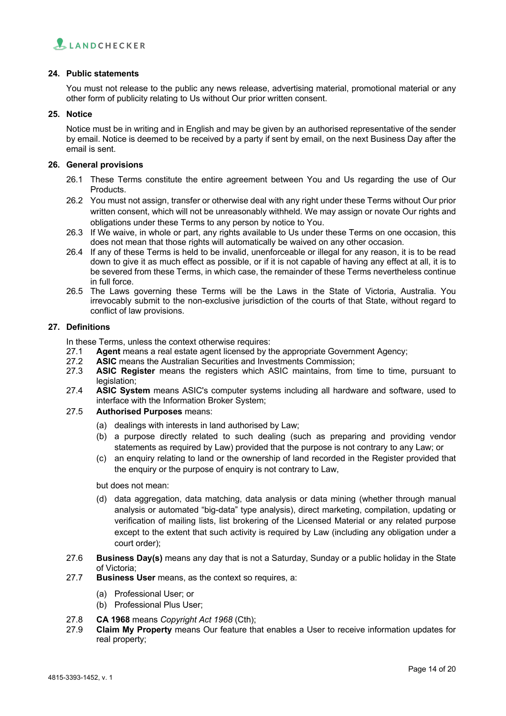

## **24. Public statements**

You must not release to the public any news release, advertising material, promotional material or any other form of publicity relating to Us without Our prior written consent.

#### **25. Notice**

Notice must be in writing and in English and may be given by an authorised representative of the sender by email. Notice is deemed to be received by a party if sent by email, on the next Business Day after the email is sent.

#### **26. General provisions**

- 26.1 These Terms constitute the entire agreement between You and Us regarding the use of Our **Products**
- 26.2 You must not assign, transfer or otherwise deal with any right under these Terms without Our prior written consent, which will not be unreasonably withheld. We may assign or novate Our rights and obligations under these Terms to any person by notice to You.
- 26.3 If We waive, in whole or part, any rights available to Us under these Terms on one occasion, this does not mean that those rights will automatically be waived on any other occasion.
- 26.4 If any of these Terms is held to be invalid, unenforceable or illegal for any reason, it is to be read down to give it as much effect as possible, or if it is not capable of having any effect at all, it is to be severed from these Terms, in which case, the remainder of these Terms nevertheless continue in full force.
- 26.5 The Laws governing these Terms will be the Laws in the State of Victoria, Australia. You irrevocably submit to the non-exclusive jurisdiction of the courts of that State, without regard to conflict of law provisions.

#### **27. Definitions**

In these Terms, unless the context otherwise requires:

- 27.1 **Agent** means a real estate agent licensed by the appropriate Government Agency;
- 27.2 **ASIC** means the Australian Securities and Investments Commission;
- 27.3 **ASIC Register** means the registers which ASIC maintains, from time to time, pursuant to legislation;
- 27.4 **ASIC System** means ASIC's computer systems including all hardware and software, used to interface with the Information Broker System;
- 27.5 **Authorised Purposes** means:
	- (a) dealings with interests in land authorised by Law;
	- (b) a purpose directly related to such dealing (such as preparing and providing vendor statements as required by Law) provided that the purpose is not contrary to any Law; or
	- (c) an enquiry relating to land or the ownership of land recorded in the Register provided that the enquiry or the purpose of enquiry is not contrary to Law,

#### but does not mean:

- (d) data aggregation, data matching, data analysis or data mining (whether through manual analysis or automated "big-data" type analysis), direct marketing, compilation, updating or verification of mailing lists, list brokering of the Licensed Material or any related purpose except to the extent that such activity is required by Law (including any obligation under a court order);
- 27.6 **Business Day(s)** means any day that is not a Saturday, Sunday or a public holiday in the State of Victoria;
- 27.7 **Business User** means, as the context so requires, a:
	- (a) Professional User; or
	- (b) Professional Plus User;
- 27.8 **CA 1968** means *Copyright Act 1968* (Cth);
- 27.9 **Claim My Property** means Our feature that enables a User to receive information updates for real property;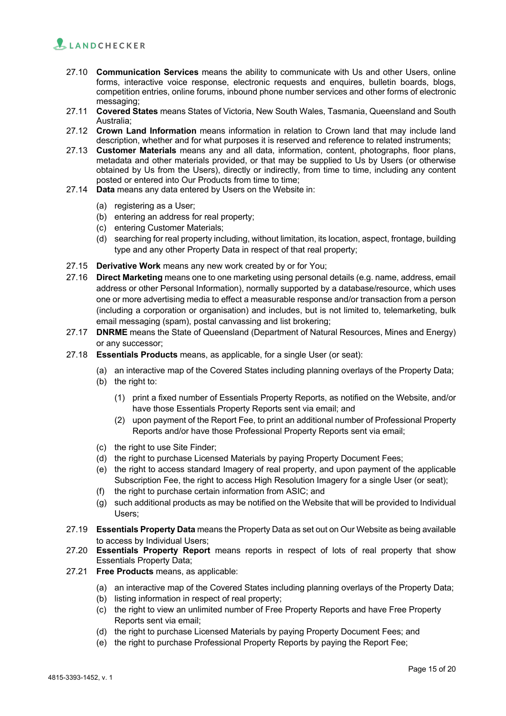

- 27.10 **Communication Services** means the ability to communicate with Us and other Users, online forms, interactive voice response, electronic requests and enquires, bulletin boards, blogs, competition entries, online forums, inbound phone number services and other forms of electronic messaging;
- 27.11 **Covered States** means States of Victoria, New South Wales, Tasmania, Queensland and South Australia;
- 27.12 **Crown Land Information** means information in relation to Crown land that may include land description, whether and for what purposes it is reserved and reference to related instruments;
- 27.13 **Customer Materials** means any and all data, information, content, photographs, floor plans, metadata and other materials provided, or that may be supplied to Us by Users (or otherwise obtained by Us from the Users), directly or indirectly, from time to time, including any content posted or entered into Our Products from time to time;
- 27.14 **Data** means any data entered by Users on the Website in:
	- (a) registering as a User;
	- (b) entering an address for real property;
	- (c) entering Customer Materials;
	- (d) searching for real property including, without limitation, its location, aspect, frontage, building type and any other Property Data in respect of that real property;
- 27.15 **Derivative Work** means any new work created by or for You;
- 27.16 **Direct Marketing** means one to one marketing using personal details (e.g. name, address, email address or other Personal Information), normally supported by a database/resource, which uses one or more advertising media to effect a measurable response and/or transaction from a person (including a corporation or organisation) and includes, but is not limited to, telemarketing, bulk email messaging (spam), postal canvassing and list brokering;
- 27.17 **DNRME** means the State of Queensland (Department of Natural Resources, Mines and Energy) or any successor;
- 27.18 **Essentials Products** means, as applicable, for a single User (or seat):
	- (a) an interactive map of the Covered States including planning overlays of the Property Data;
	- (b) the right to:
		- (1) print a fixed number of Essentials Property Reports, as notified on the Website, and/or have those Essentials Property Reports sent via email; and
		- (2) upon payment of the Report Fee, to print an additional number of Professional Property Reports and/or have those Professional Property Reports sent via email;
	- (c) the right to use Site Finder;
	- (d) the right to purchase Licensed Materials by paying Property Document Fees;
	- (e) the right to access standard Imagery of real property, and upon payment of the applicable Subscription Fee, the right to access High Resolution Imagery for a single User (or seat);
	- (f) the right to purchase certain information from ASIC; and
	- (g) such additional products as may be notified on the Website that will be provided to Individual Users;
- 27.19 **Essentials Property Data** means the Property Data as set out on Our Website as being available to access by Individual Users;
- 27.20 **Essentials Property Report** means reports in respect of lots of real property that show Essentials Property Data;
- 27.21 **Free Products** means, as applicable:
	- (a) an interactive map of the Covered States including planning overlays of the Property Data;
	- (b) listing information in respect of real property;
	- (c) the right to view an unlimited number of Free Property Reports and have Free Property Reports sent via email;
	- (d) the right to purchase Licensed Materials by paying Property Document Fees; and
	- (e) the right to purchase Professional Property Reports by paying the Report Fee;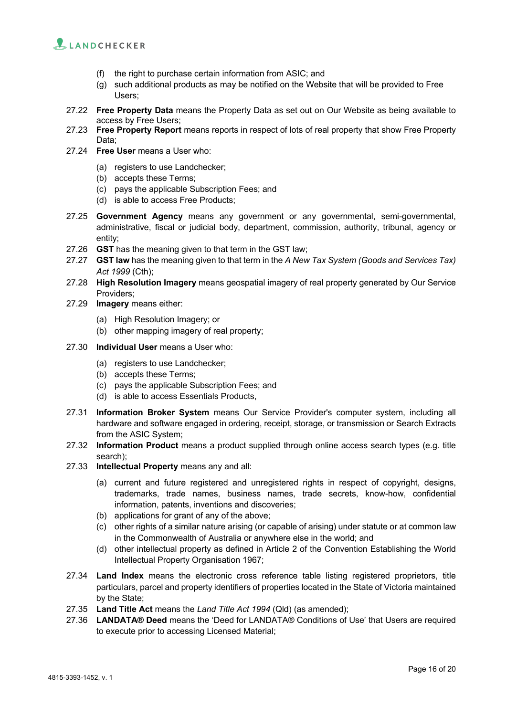

- (f) the right to purchase certain information from ASIC; and
- (g) such additional products as may be notified on the Website that will be provided to Free Users;
- 27.22 **Free Property Data** means the Property Data as set out on Our Website as being available to access by Free Users;
- 27.23 **Free Property Report** means reports in respect of lots of real property that show Free Property Data;
- 27.24 **Free User** means a User who:
	- (a) registers to use Landchecker;
	- (b) accepts these Terms;
	- (c) pays the applicable Subscription Fees; and
	- (d) is able to access Free Products;
- 27.25 **Government Agency** means any government or any governmental, semi-governmental, administrative, fiscal or judicial body, department, commission, authority, tribunal, agency or entity;
- 27.26 **GST** has the meaning given to that term in the GST law;
- 27.27 **GST law** has the meaning given to that term in the *A New Tax System (Goods and Services Tax) Act 1999* (Cth);
- 27.28 **High Resolution Imagery** means geospatial imagery of real property generated by Our Service Providers;
- 27.29 **Imagery** means either:
	- (a) High Resolution Imagery; or
	- (b) other mapping imagery of real property;
- 27.30 **Individual User** means a User who:
	- (a) registers to use Landchecker;
	- (b) accepts these Terms;
	- (c) pays the applicable Subscription Fees; and
	- (d) is able to access Essentials Products,
- 27.31 **Information Broker System** means Our Service Provider's computer system, including all hardware and software engaged in ordering, receipt, storage, or transmission or Search Extracts from the ASIC System;
- 27.32 **Information Product** means a product supplied through online access search types (e.g. title search);
- 27.33 **Intellectual Property** means any and all:
	- (a) current and future registered and unregistered rights in respect of copyright, designs, trademarks, trade names, business names, trade secrets, know-how, confidential information, patents, inventions and discoveries;
	- (b) applications for grant of any of the above;
	- (c) other rights of a similar nature arising (or capable of arising) under statute or at common law in the Commonwealth of Australia or anywhere else in the world; and
	- (d) other intellectual property as defined in Article 2 of the Convention Establishing the World Intellectual Property Organisation 1967;
- 27.34 **Land Index** means the electronic cross reference table listing registered proprietors, title particulars, parcel and property identifiers of properties located in the State of Victoria maintained by the State;
- 27.35 **Land Title Act** means the *Land Title Act 1994* (Qld) (as amended);
- 27.36 **LANDATA® Deed** means the 'Deed for LANDATA® Conditions of Use' that Users are required to execute prior to accessing Licensed Material;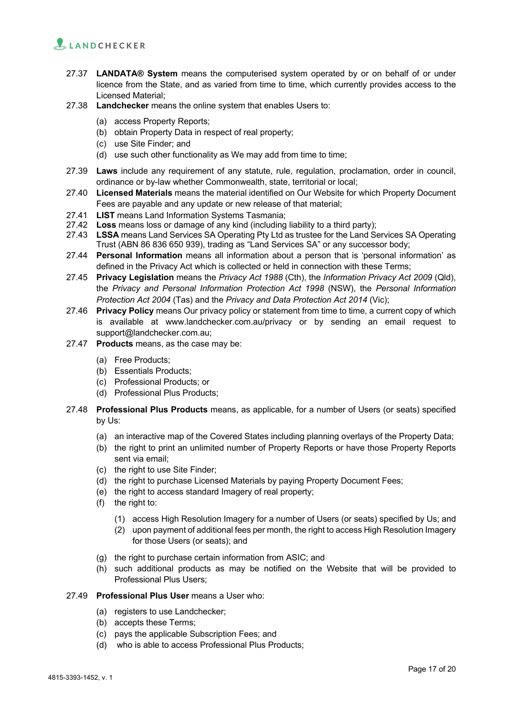

- 27.37 **LANDATA® System** means the computerised system operated by or on behalf of or under licence from the State, and as varied from time to time, which currently provides access to the Licensed Material;
- 27.38 **Landchecker** means the online system that enables Users to:
	- (a) access Property Reports;
	- (b) obtain Property Data in respect of real property;
	- (c) use Site Finder; and
	- (d) use such other functionality as We may add from time to time;
- 27.39 **Laws** include any requirement of any statute, rule, regulation, proclamation, order in council, ordinance or by-law whether Commonwealth, state, territorial or local;
- 27.40 **Licensed Materials** means the material identified on Our Website for which Property Document Fees are payable and any update or new release of that material;
- 27.41 **LIST** means Land Information Systems Tasmania;
- 27.42 **Loss** means loss or damage of any kind (including liability to a third party);
- 27.43 **LSSA** means Land Services SA Operating Pty Ltd as trustee for the Land Services SA Operating Trust (ABN 86 836 650 939), trading as "Land Services SA" or any successor body;
- 27.44 **Personal Information** means all information about a person that is 'personal information' as defined in the Privacy Act which is collected or held in connection with these Terms;
- 27.45 **Privacy Legislation** means the *Privacy Act 1988* (Cth), the *Information Privacy Act 2009* (Qld), the *Privacy and Personal Information Protection Act 1998* (NSW), the *Personal Information Protection Act 2004* (Tas) and the *Privacy and Data Protection Act 2014* (Vic);
- 27.46 **Privacy Policy** means Our privacy policy or statement from time to time, a current copy of which is available at www.landchecker.com.au/privacy or by sending an email request to support@landchecker.com.au;
- 27.47 **Products** means, as the case may be:
	- (a) Free Products;
	- (b) Essentials Products;
	- (c) Professional Products; or
	- (d) Professional Plus Products;
- 27.48 **Professional Plus Products** means, as applicable, for a number of Users (or seats) specified by Us:
	- (a) an interactive map of the Covered States including planning overlays of the Property Data;
	- (b) the right to print an unlimited number of Property Reports or have those Property Reports sent via email;
	- (c) the right to use Site Finder;
	- (d) the right to purchase Licensed Materials by paying Property Document Fees;
	- (e) the right to access standard Imagery of real property;
	- (f) the right to:
		- (1) access High Resolution Imagery for a number of Users (or seats) specified by Us; and
		- (2) upon payment of additional fees per month, the right to access High Resolution Imagery for those Users (or seats); and
	- (g) the right to purchase certain information from ASIC; and
	- (h) such additional products as may be notified on the Website that will be provided to Professional Plus Users;
- 27.49 **Professional Plus User** means a User who:
	- (a) registers to use Landchecker;
	- (b) accepts these Terms;
	- (c) pays the applicable Subscription Fees; and
	- (d) who is able to access Professional Plus Products;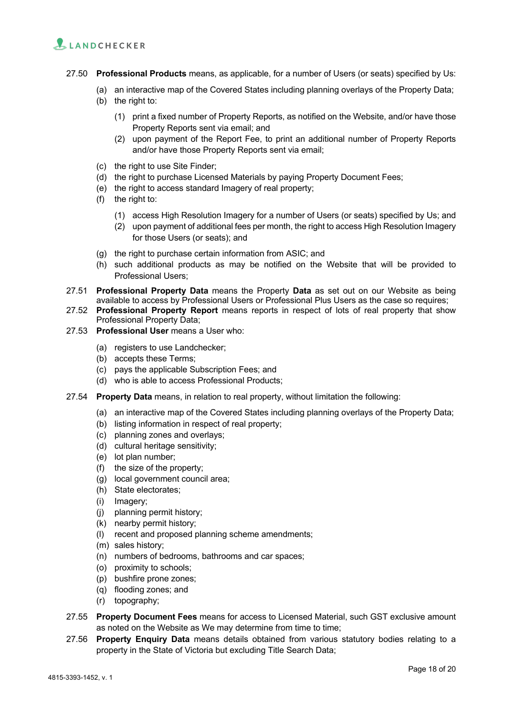

- 27.50 **Professional Products** means, as applicable, for a number of Users (or seats) specified by Us:
	- (a) an interactive map of the Covered States including planning overlays of the Property Data;
	- (b) the right to:
		- (1) print a fixed number of Property Reports, as notified on the Website, and/or have those Property Reports sent via email; and
		- (2) upon payment of the Report Fee, to print an additional number of Property Reports and/or have those Property Reports sent via email;
	- (c) the right to use Site Finder;
	- (d) the right to purchase Licensed Materials by paying Property Document Fees;
	- (e) the right to access standard Imagery of real property;
	- (f) the right to:
		- (1) access High Resolution Imagery for a number of Users (or seats) specified by Us; and
		- (2) upon payment of additional fees per month, the right to access High Resolution Imagery for those Users (or seats); and
	- (g) the right to purchase certain information from ASIC; and
	- (h) such additional products as may be notified on the Website that will be provided to Professional Users;
- 27.51 **Professional Property Data** means the Property **Data** as set out on our Website as being available to access by Professional Users or Professional Plus Users as the case so requires;
- 27.52 **Professional Property Report** means reports in respect of lots of real property that show Professional Property Data;
- 27.53 **Professional User** means a User who:
	- (a) registers to use Landchecker;
	- (b) accepts these Terms;
	- (c) pays the applicable Subscription Fees; and
	- (d) who is able to access Professional Products;
- 27.54 **Property Data** means, in relation to real property, without limitation the following:
	- (a) an interactive map of the Covered States including planning overlays of the Property Data;
	- (b) listing information in respect of real property;
	- (c) planning zones and overlays;
	- (d) cultural heritage sensitivity;
	- (e) lot plan number;
	- (f) the size of the property;
	- (g) local government council area;
	- (h) State electorates;
	- (i) Imagery;
	- (j) planning permit history;
	- (k) nearby permit history;
	- (l) recent and proposed planning scheme amendments;
	- (m) sales history;
	- (n) numbers of bedrooms, bathrooms and car spaces;
	- (o) proximity to schools;
	- (p) bushfire prone zones;
	- (q) flooding zones; and
	- (r) topography;
- 27.55 **Property Document Fees** means for access to Licensed Material, such GST exclusive amount as noted on the Website as We may determine from time to time;
- 27.56 **Property Enquiry Data** means details obtained from various statutory bodies relating to a property in the State of Victoria but excluding Title Search Data;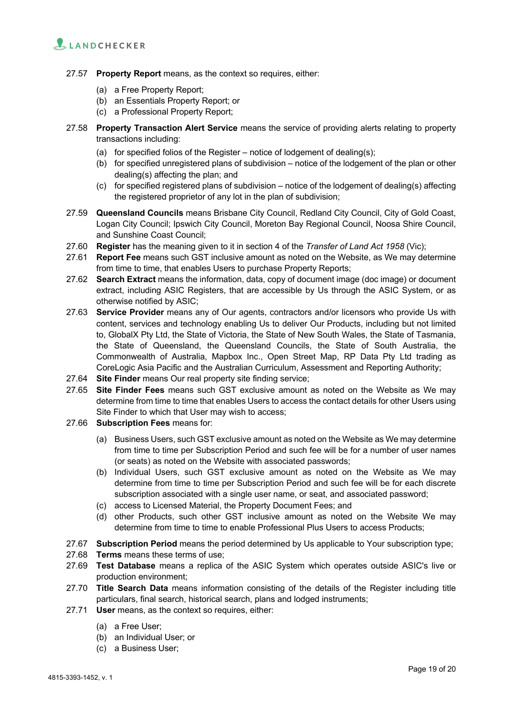

- 27.57 **Property Report** means, as the context so requires, either:
	- (a) a Free Property Report;
	- (b) an Essentials Property Report; or
	- (c) a Professional Property Report;
- 27.58 **Property Transaction Alert Service** means the service of providing alerts relating to property transactions including:
	- (a) for specified folios of the Register notice of lodgement of dealing(s);
	- (b) for specified unregistered plans of subdivision notice of the lodgement of the plan or other dealing(s) affecting the plan; and
	- (c) for specified registered plans of subdivision notice of the lodgement of dealing(s) affecting the registered proprietor of any lot in the plan of subdivision;
- 27.59 **Queensland Councils** means Brisbane City Council, Redland City Council, City of Gold Coast, Logan City Council; Ipswich City Council, Moreton Bay Regional Council, Noosa Shire Council, and Sunshine Coast Council;
- 27.60 **Register** has the meaning given to it in section 4 of the *Transfer of Land Act 1958* (Vic);
- 27.61 **Report Fee** means such GST inclusive amount as noted on the Website, as We may determine from time to time, that enables Users to purchase Property Reports;
- 27.62 **Search Extract** means the information, data, copy of document image (doc image) or document extract, including ASIC Registers, that are accessible by Us through the ASIC System, or as otherwise notified by ASIC;
- 27.63 **Service Provider** means any of Our agents, contractors and/or licensors who provide Us with content, services and technology enabling Us to deliver Our Products, including but not limited to, GlobalX Pty Ltd, the State of Victoria, the State of New South Wales, the State of Tasmania, the State of Queensland, the Queensland Councils, the State of South Australia, the Commonwealth of Australia, Mapbox Inc., Open Street Map, RP Data Pty Ltd trading as CoreLogic Asia Pacific and the Australian Curriculum, Assessment and Reporting Authority;
- 27.64 **Site Finder** means Our real property site finding service;
- 27.65 **Site Finder Fees** means such GST exclusive amount as noted on the Website as We may determine from time to time that enables Users to access the contact details for other Users using Site Finder to which that User may wish to access;
- 27.66 **Subscription Fees** means for:
	- (a) Business Users, such GST exclusive amount as noted on the Website as We may determine from time to time per Subscription Period and such fee will be for a number of user names (or seats) as noted on the Website with associated passwords;
	- (b) Individual Users, such GST exclusive amount as noted on the Website as We may determine from time to time per Subscription Period and such fee will be for each discrete subscription associated with a single user name, or seat, and associated password;
	- (c) access to Licensed Material, the Property Document Fees; and
	- (d) other Products, such other GST inclusive amount as noted on the Website We may determine from time to time to enable Professional Plus Users to access Products;
- 27.67 **Subscription Period** means the period determined by Us applicable to Your subscription type;
- 27.68 **Terms** means these terms of use;
- 27.69 **Test Database** means a replica of the ASIC System which operates outside ASIC's live or production environment;
- 27.70 **Title Search Data** means information consisting of the details of the Register including title particulars, final search, historical search, plans and lodged instruments;
- 27.71 **User** means, as the context so requires, either:
	- (a) a Free User;
	- (b) an Individual User; or
	- (c) a Business User;